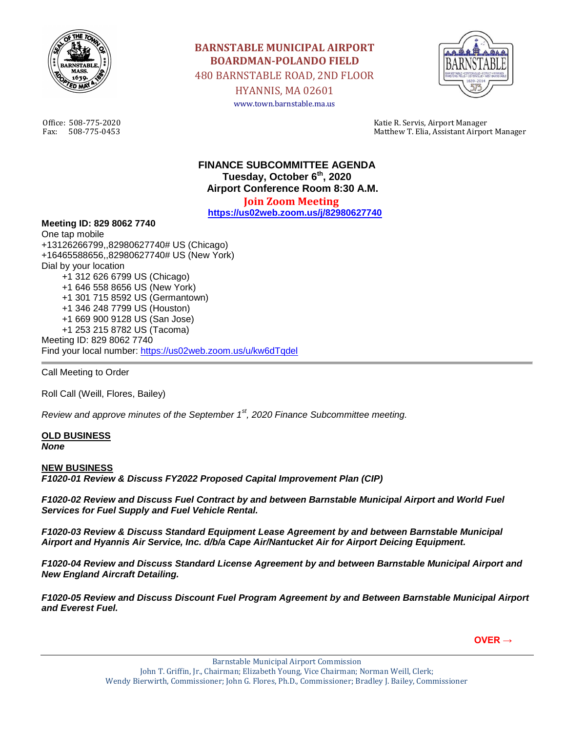

**BARNSTABLE MUNICIPAL AIRPORT BOARDMAN-POLANDO FIELD** 480 BARNSTABLE ROAD, 2ND FLOOR HYANNIS, MA 02601 www.town.barnstable.ma.us



Office: 508-775-2020 Katie R. Servis, Airport Manager Matthew T. Elia, Assistant Airport Manager

> **FINANCE SUBCOMMITTEE AGENDA Tuesday, October 6th , 2020 Airport Conference Room 8:30 A.M. Join Zoom Meeting**

**<https://us02web.zoom.us/j/82980627740>**

## **Meeting ID: 829 8062 7740**

One tap mobile +13126266799,,82980627740# US (Chicago) +16465588656,,82980627740# US (New York) Dial by your location +1 312 626 6799 US (Chicago) +1 646 558 8656 US (New York) +1 301 715 8592 US (Germantown) +1 346 248 7799 US (Houston) +1 669 900 9128 US (San Jose) +1 253 215 8782 US (Tacoma) Meeting ID: 829 8062 7740 Find your local number:<https://us02web.zoom.us/u/kw6dTqdel>

Call Meeting to Order

Roll Call (Weill, Flores, Bailey)

*Review and approve minutes of the September 1st, 2020 Finance Subcommittee meeting.*

## **OLD BUSINESS** *None*

## **NEW BUSINESS**

*F1020-01 Review & Discuss FY2022 Proposed Capital Improvement Plan (CIP)* 

*F1020-02 Review and Discuss Fuel Contract by and between Barnstable Municipal Airport and World Fuel Services for Fuel Supply and Fuel Vehicle Rental.*

*F1020-03 Review & Discuss Standard Equipment Lease Agreement by and between Barnstable Municipal Airport and Hyannis Air Service, Inc. d/b/a Cape Air/Nantucket Air for Airport Deicing Equipment.*

*F1020-04 Review and Discuss Standard License Agreement by and between Barnstable Municipal Airport and New England Aircraft Detailing.*

*F1020-05 Review and Discuss Discount Fuel Program Agreement by and Between Barnstable Municipal Airport and Everest Fuel.*

**OVER →**